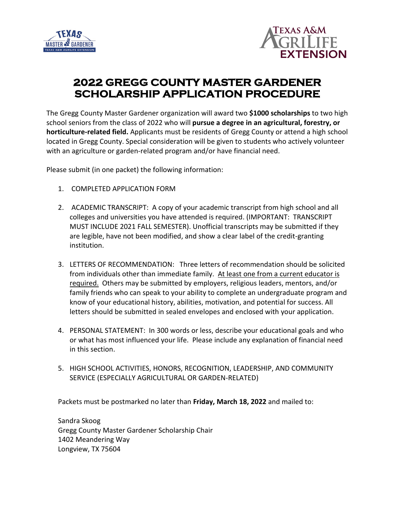



## **2022 GREGG COUNTY MASTER GARDENER SCHOLARSHIP APPLICATION PROCEDURE**

The Gregg County Master Gardener organization will award two **\$1000 scholarships** to two high school seniors from the class of 2022 who will **pursue a degree in an agricultural, forestry, or horticulture-related field.** Applicants must be residents of Gregg County or attend a high school located in Gregg County. Special consideration will be given to students who actively volunteer with an agriculture or garden-related program and/or have financial need.

Please submit (in one packet) the following information:

- 1. COMPLETED APPLICATION FORM
- 2. ACADEMIC TRANSCRIPT: A copy of your academic transcript from high school and all colleges and universities you have attended is required. (IMPORTANT: TRANSCRIPT MUST INCLUDE 2021 FALL SEMESTER). Unofficial transcripts may be submitted if they are legible, have not been modified, and show a clear label of the credit-granting institution.
- 3. LETTERS OF RECOMMENDATION: Three letters of recommendation should be solicited from individuals other than immediate family. At least one from a current educator is required. Others may be submitted by employers, religious leaders, mentors, and/or family friends who can speak to your ability to complete an undergraduate program and know of your educational history, abilities, motivation, and potential for success. All letters should be submitted in sealed envelopes and enclosed with your application.
- 4. PERSONAL STATEMENT: In 300 words or less, describe your educational goals and who or what has most influenced your life. Please include any explanation of financial need in this section.
- 5. HIGH SCHOOL ACTIVITIES, HONORS, RECOGNITION, LEADERSHIP, AND COMMUNITY SERVICE (ESPECIALLY AGRICULTURAL OR GARDEN-RELATED)

Packets must be postmarked no later than **Friday, March 18, 2022** and mailed to:

Sandra Skoog Gregg County Master Gardener Scholarship Chair 1402 Meandering Way Longview, TX 75604